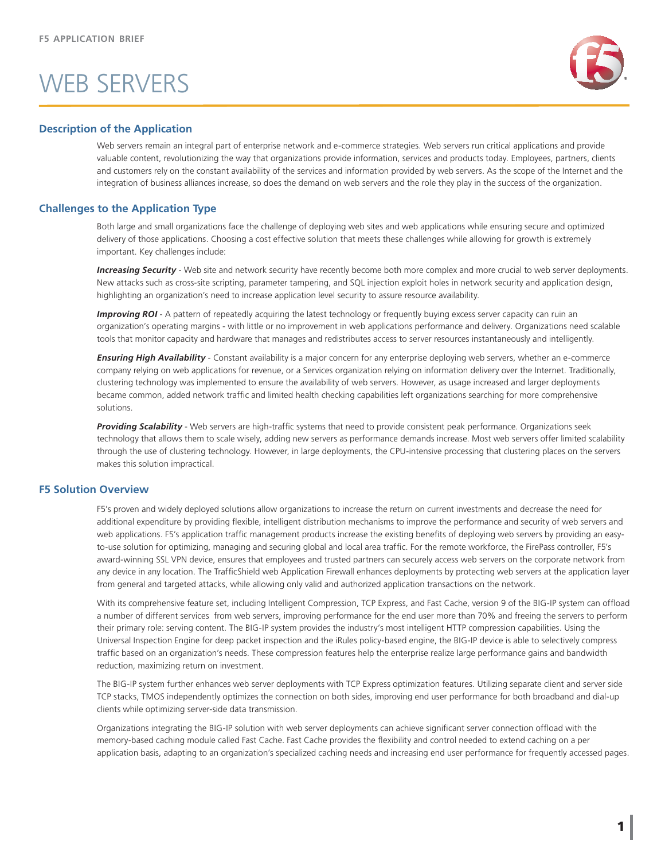# WEB SERVERS



### **Description of the Application**

Web servers remain an integral part of enterprise network and e-commerce strategies. Web servers run critical applications and provide valuable content, revolutionizing the way that organizations provide information, services and products today. Employees, partners, clients and customers rely on the constant availability of the services and information provided by web servers. As the scope of the Internet and the integration of business alliances increase, so does the demand on web servers and the role they play in the success of the organization.

### **Challenges to the Application Type**

Both large and small organizations face the challenge of deploying web sites and web applications while ensuring secure and optimized delivery of those applications. Choosing a cost effective solution that meets these challenges while allowing for growth is extremely important. Key challenges include:

**Increasing Security** - Web site and network security have recently become both more complex and more crucial to web server deployments. New attacks such as cross-site scripting, parameter tampering, and SQL injection exploit holes in network security and application design, highlighting an organization's need to increase application level security to assure resource availability.

*Improving ROI* - A pattern of repeatedly acquiring the latest technology or frequently buying excess server capacity can ruin an organization's operating margins - with little or no improvement in web applications performance and delivery. Organizations need scalable tools that monitor capacity and hardware that manages and redistributes access to server resources instantaneously and intelligently.

*Ensuring High Availability* - Constant availability is a major concern for any enterprise deploying web servers, whether an e-commerce company relying on web applications for revenue, or a Services organization relying on information delivery over the Internet. Traditionally, clustering technology was implemented to ensure the availability of web servers. However, as usage increased and larger deployments became common, added network traffic and limited health checking capabilities left organizations searching for more comprehensive solutions.

Providing Scalability - Web servers are high-traffic systems that need to provide consistent peak performance. Organizations seek technology that allows them to scale wisely, adding new servers as performance demands increase. Most web servers offer limited scalability through the use of clustering technology. However, in large deployments, the CPU-intensive processing that clustering places on the servers makes this solution impractical.

### **F5 Solution Overview**

F5's proven and widely deployed solutions allow organizations to increase the return on current investments and decrease the need for additional expenditure by providing flexible, intelligent distribution mechanisms to improve the performance and security of web servers and web applications. F5's application traffic management products increase the existing benefits of deploying web servers by providing an easyto-use solution for optimizing, managing and securing global and local area traffic. For the remote workforce, the FirePass controller, F5's award-winning SSL VPN device, ensures that employees and trusted partners can securely access web servers on the corporate network from any device in any location. The TrafficShield web Application Firewall enhances deployments by protecting web servers at the application layer from general and targeted attacks, while allowing only valid and authorized application transactions on the network.

With its comprehensive feature set, including Intelligent Compression, TCP Express, and Fast Cache, version 9 of the BIG-IP system can offload a number of different services from web servers, improving performance for the end user more than 70% and freeing the servers to perform their primary role: serving content. The BIG-IP system provides the industry's most intelligent HTTP compression capabilities. Using the Universal Inspection Engine for deep packet inspection and the iRules policy-based engine, the BIG-IP device is able to selectively compress traffic based on an organization's needs. These compression features help the enterprise realize large performance gains and bandwidth reduction, maximizing return on investment.

The BIG-IP system further enhances web server deployments with TCP Express optimization features. Utilizing separate client and server side TCP stacks, TMOS independently optimizes the connection on both sides, improving end user performance for both broadband and dial-up clients while optimizing server-side data transmission.

Organizations integrating the BIG-IP solution with web server deployments can achieve significant server connection offload with the memory-based caching module called Fast Cache. Fast Cache provides the flexibility and control needed to extend caching on a per application basis, adapting to an organization's specialized caching needs and increasing end user performance for frequently accessed pages.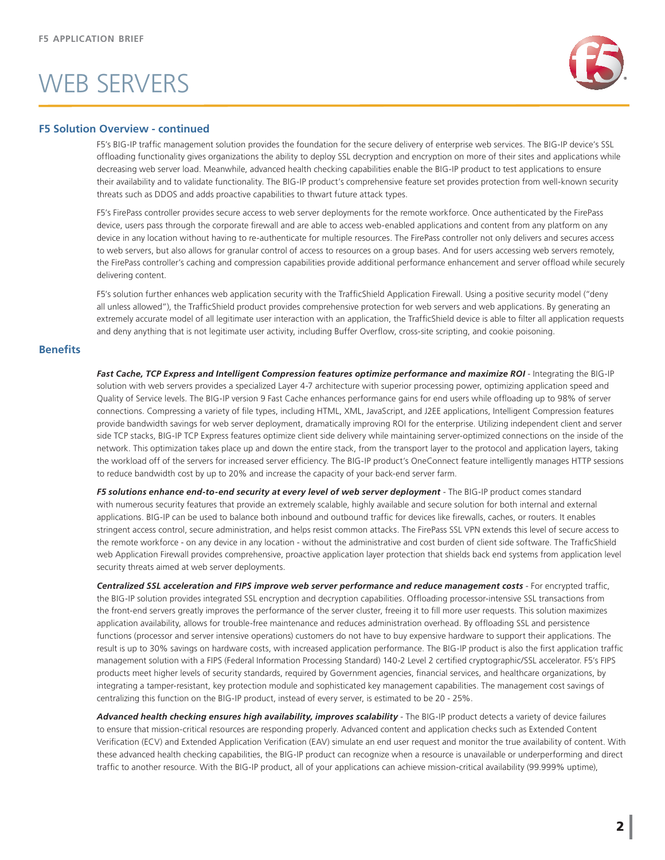# WEB SERVERS



#### **F5 Solution Overview - continued**

F5's BIG-IP traffic management solution provides the foundation for the secure delivery of enterprise web services. The BIG-IP device's SSL offloading functionality gives organizations the ability to deploy SSL decryption and encryption on more of their sites and applications while decreasing web server load. Meanwhile, advanced health checking capabilities enable the BIG-IP product to test applications to ensure their availability and to validate functionality. The BIG-IP product's comprehensive feature set provides protection from well-known security threats such as DDOS and adds proactive capabilities to thwart future attack types.

F5's FirePass controller provides secure access to web server deployments for the remote workforce. Once authenticated by the FirePass device, users pass through the corporate firewall and are able to access web-enabled applications and content from any platform on any device in any location without having to re-authenticate for multiple resources. The FirePass controller not only delivers and secures access to web servers, but also allows for granular control of access to resources on a group bases. And for users accessing web servers remotely, the FirePass controller's caching and compression capabilities provide additional performance enhancement and server offload while securely delivering content.

F5's solution further enhances web application security with the TrafficShield Application Firewall. Using a positive security model ("deny all unless allowed"), the TrafficShield product provides comprehensive protection for web servers and web applications. By generating an extremely accurate model of all legitimate user interaction with an application, the TrafficShield device is able to filter all application requests and deny anything that is not legitimate user activity, including Buffer Overflow, cross-site scripting, and cookie poisoning.

### **Benefits**

Fast Cache, TCP Express and Intelligent Compression features optimize performance and maximize ROI - Integrating the BIG-IP solution with web servers provides a specialized Layer 4-7 architecture with superior processing power, optimizing application speed and Quality of Service levels. The BIG-IP version 9 Fast Cache enhances performance gains for end users while offloading up to 98% of server connections. Compressing a variety of file types, including HTML, XML, JavaScript, and J2EE applications, Intelligent Compression features provide bandwidth savings for web server deployment, dramatically improving ROI for the enterprise. Utilizing independent client and server side TCP stacks, BIG-IP TCP Express features optimize client side delivery while maintaining server-optimized connections on the inside of the network. This optimization takes place up and down the entire stack, from the transport layer to the protocol and application layers, taking the workload off of the servers for increased server efficiency. The BIG-IP product's OneConnect feature intelligently manages HTTP sessions to reduce bandwidth cost by up to 20% and increase the capacity of your back-end server farm.

*F5 solutions enhance end-to-end security at every level of web server deployment* - The BIG-IP product comes standard with numerous security features that provide an extremely scalable, highly available and secure solution for both internal and external applications. BIG-IP can be used to balance both inbound and outbound traffic for devices like firewalls, caches, or routers. It enables stringent access control, secure administration, and helps resist common attacks. The FirePass SSL VPN extends this level of secure access to the remote workforce - on any device in any location - without the administrative and cost burden of client side software. The TrafficShield web Application Firewall provides comprehensive, proactive application layer protection that shields back end systems from application level security threats aimed at web server deployments.

Centralized SSL acceleration and FIPS improve web server performance and reduce management costs - For encrypted traffic, the BIG-IP solution provides integrated SSL encryption and decryption capabilities. Offloading processor-intensive SSL transactions from the front-end servers greatly improves the performance of the server cluster, freeing it to fill more user requests. This solution maximizes application availability, allows for trouble-free maintenance and reduces administration overhead. By offloading SSL and persistence functions (processor and server intensive operations) customers do not have to buy expensive hardware to support their applications. The result is up to 30% savings on hardware costs, with increased application performance. The BIG-IP product is also the first application traffic management solution with a FIPS (Federal Information Processing Standard) 140-2 Level 2 certified cryptographic/SSL accelerator. F5's FIPS products meet higher levels of security standards, required by Government agencies, financial services, and healthcare organizations, by integrating a tamper-resistant, key protection module and sophisticated key management capabilities. The management cost savings of centralizing this function on the BIG-IP product, instead of every server, is estimated to be 20 - 25%.

*Advanced health checking ensures high availability, improves scalability* - The BIG-IP product detects a variety of device failures to ensure that mission-critical resources are responding properly. Advanced content and application checks such as Extended Content Verification (ECV) and Extended Application Verification (EAV) simulate an end user request and monitor the true availability of content. With these advanced health checking capabilities, the BIG-IP product can recognize when a resource is unavailable or underperforming and direct traffic to another resource. With the BIG-IP product, all of your applications can achieve mission-critical availability (99.999% uptime),